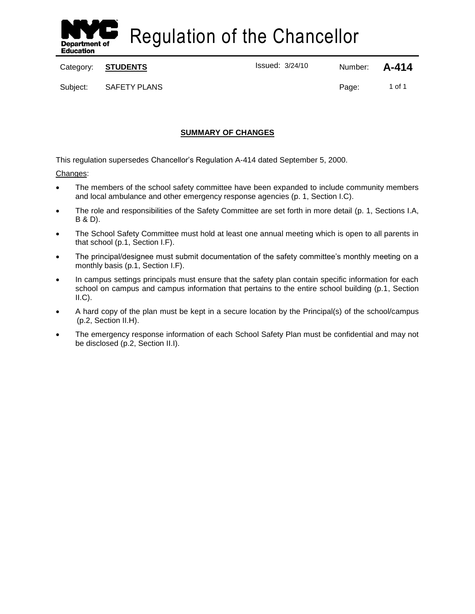

Regulation of the Chancellor

Category: **STUDENTS ISSUE 2018** Issued: 3/24/10 Number: **A-414** 

Subject: SAFETY PLANS Page: 1 of 1

# **SUMMARY OF CHANGES**

This regulation supersedes Chancellor's Regulation A-414 dated September 5, 2000.

# Changes:

- The members of the school safety committee have been expanded to include community members and local ambulance and other emergency response agencies (p. 1, Section I.C).
- The role and responsibilities of the Safety Committee are set forth in more detail (p. 1, Sections I.A, B & D).
- The School Safety Committee must hold at least one annual meeting which is open to all parents in that school (p.1, Section I.F).
- The principal/designee must submit documentation of the safety committee's monthly meeting on a monthly basis (p.1, Section I.F).
- In campus settings principals must ensure that the safety plan contain specific information for each school on campus and campus information that pertains to the entire school building (p.1, Section  $II.C$ ).
- A hard copy of the plan must be kept in a secure location by the Principal(s) of the school/campus (p.2, Section II.H).
- The emergency response information of each School Safety Plan must be confidential and may not be disclosed (p.2, Section II.I).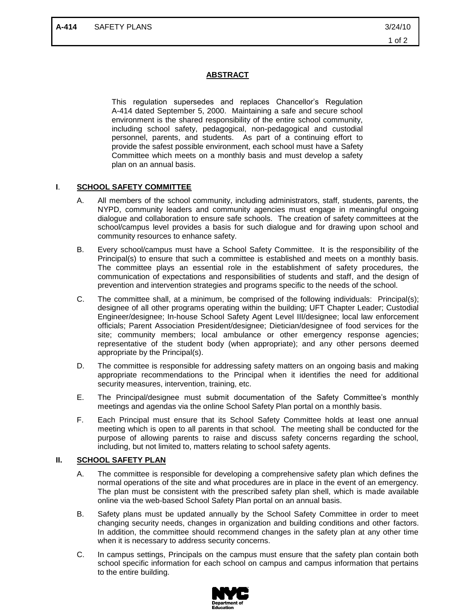## **ABSTRACT**

This regulation supersedes and replaces Chancellor's Regulation A-414 dated September 5, 2000. Maintaining a safe and secure school environment is the shared responsibility of the entire school community, including school safety, pedagogical, non-pedagogical and custodial personnel, parents, and students. As part of a continuing effort to provide the safest possible environment, each school must have a Safety Committee which meets on a monthly basis and must develop a safety plan on an annual basis.

### **I**. **SCHOOL SAFETY COMMITTEE**

- A. All members of the school community, including administrators, staff, students, parents, the NYPD, community leaders and community agencies must engage in meaningful ongoing dialogue and collaboration to ensure safe schools. The creation of safety committees at the school/campus level provides a basis for such dialogue and for drawing upon school and community resources to enhance safety.
- B. Every school/campus must have a School Safety Committee. It is the responsibility of the Principal(s) to ensure that such a committee is established and meets on a monthly basis. The committee plays an essential role in the establishment of safety procedures, the communication of expectations and responsibilities of students and staff, and the design of prevention and intervention strategies and programs specific to the needs of the school.
- C. The committee shall, at a minimum, be comprised of the following individuals: Principal(s); designee of all other programs operating within the building; UFT Chapter Leader; Custodial Engineer/designee; In-house School Safety Agent Level III/designee; local law enforcement officials; Parent Association President/designee; Dietician/designee of food services for the site; community members; local ambulance or other emergency response agencies; representative of the student body (when appropriate); and any other persons deemed appropriate by the Principal(s).
- D. The committee is responsible for addressing safety matters on an ongoing basis and making appropriate recommendations to the Principal when it identifies the need for additional security measures, intervention, training, etc.
- E. The Principal/designee must submit documentation of the Safety Committee's monthly meetings and agendas via the online School Safety Plan portal on a monthly basis.
- F. Each Principal must ensure that its School Safety Committee holds at least one annual meeting which is open to all parents in that school. The meeting shall be conducted for the purpose of allowing parents to raise and discuss safety concerns regarding the school, including, but not limited to, matters relating to school safety agents.

#### **II. SCHOOL SAFETY PLAN**

- A. The committee is responsible for developing a comprehensive safety plan which defines the normal operations of the site and what procedures are in place in the event of an emergency. The plan must be consistent with the prescribed safety plan shell, which is made available online via the web-based School Safety Plan portal on an annual basis.
- B. Safety plans must be updated annually by the School Safety Committee in order to meet changing security needs, changes in organization and building conditions and other factors. In addition, the committee should recommend changes in the safety plan at any other time when it is necessary to address security concerns.
- C. In campus settings, Principals on the campus must ensure that the safety plan contain both school specific information for each school on campus and campus information that pertains to the entire building.